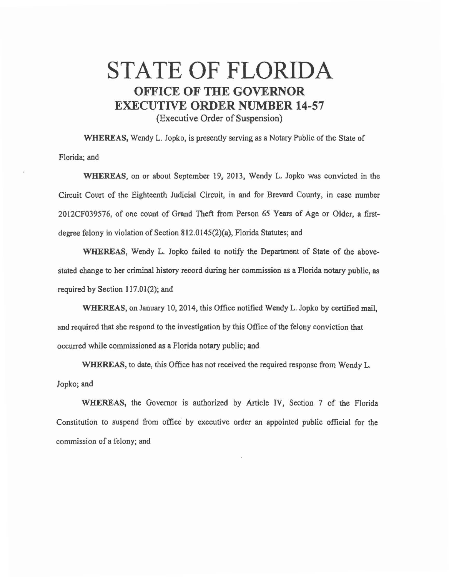## STATE OF FLORIDA OFFICE OF THE GOVERNOR EXECUTIVE ORDER NUMBER 14-57

(Executive Order of Suspension)

WHEREAS, Wendy L. Jopko, is presently serving as a Notary Public of the State of Florida; and

WHEREAS, on or about September 19, 2013, Wendy L. Jopko was convicted in the Circuit Court of the Eighteenth Judicial Circuit, in and for Brevard County, in case number 2012CF039576, of one count of Grand Theft from Person *65* Years of Age or Older, a firstdegree felony in violation of Section 812.0145(2)(a), Florida Statutes; and

WHEREAS, Wendy L. Jopko failed to notify the Department of State of the abovestated change to her criminal history record during her commission as a Florida notary public, as required by Section 117.01(2); and

WHEREAS, on January 10, 2014, this Office notified Wendy L. Jopko by certified mail, and required that she respond to the investigation by this Office of the felony conviction that occurred while commissioned as a Florida notary public; and

WHEREAS, to date, this Office has not received the required response from Wendy L. Jopko;and

WHEREAS, the Governor is authorized by Article IV, Section 7 of the Florida Constitution to suspend from office by executive order an appointed public official for the commission of a felony; and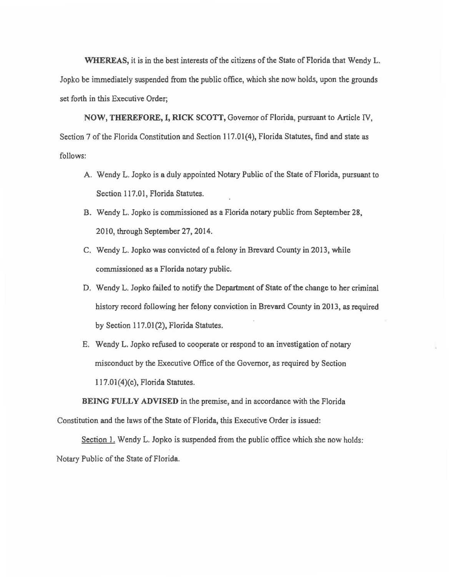WHEREAS, it is in the best interests of the citizens of the State of Florida that Wendy L. Jopko be immediately suspended from the public office, which she now holds, upon the grounds set forth in this Executive Order;

NOW, THEREFORE, I, RICK SCOTT, Governor of Florida, pursuant to Article IV, Section 7 of the Florida Constitution and Section 117.01(4), Florida Statutes, find and state as follows:

- A. Wendy L. Jopko is a duly appointed Notary Public of the State of Florida, pursuant to Section 117.01, Florida Statutes.
- B. Wendy L. Jopko is commissioned as a Florida notary public from September 28, 2010, through September 27, 2014.
- C. Wendy L. Jopko was convicted of a felony in Brevard County in 2013, while commissioned as a Florida notary public.
- D. Wendy L. Jopko failed to notify the Department of State of the change to her criminal history record following her felony conviction in Brevard County in 2013, as required by Section 117.01(2), Florida Statutes.
- E. Wendy L. Jopko refused to cooperate or respond to an investigation of notary misconduct by the Executive Office of the Governor, as required by Section 1l7.01(4)(c), Florida Statutes.

BEING FULLY ADVISED in the premise, and in accordance with the Florida Constitution and the laws of the State of Florida, this Executive Order is issued:

Section 1. Wendy L. Jopko is suspended from the public office which she now holds: Notary Public of the State of Florida.